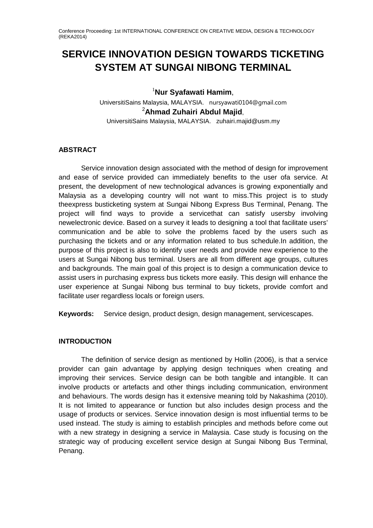# **SERVICE INNOVATION DESIGN TOWARDS TICKETING SYSTEM AT SUNGAI NIBONG TERMINAL**

1 **Nur Syafawati Hamim**,

UniversitiSains Malaysia, MALAYSIA. nursyawati0104@gmail.com 2 **Ahmad Zuhairi Abdul Majid**, UniversitiSains Malaysia, MALAYSIA. zuhairi.majid@usm.my

## **ABSTRACT**

Service innovation design associated with the method of design for improvement and ease of service provided can immediately benefits to the user ofa service. At present, the development of new technological advances is growing exponentially and Malaysia as a developing country will not want to miss.This project is to study theexpress busticketing system at Sungai Nibong Express Bus Terminal, Penang. The project will find ways to provide a servicethat can satisfy usersby involving newelectronic device. Based on a survey it leads to designing a tool that facilitate users' communication and be able to solve the problems faced by the users such as purchasing the tickets and or any information related to bus schedule.In addition, the purpose of this project is also to identify user needs and provide new experience to the users at Sungai Nibong bus terminal. Users are all from different age groups, cultures and backgrounds. The main goal of this project is to design a communication device to assist users in purchasing express bus tickets more easily. This design will enhance the user experience at Sungai Nibong bus terminal to buy tickets, provide comfort and facilitate user regardless locals or foreign users.

**Keywords:** Service design, product design, design management, servicescapes.

#### **INTRODUCTION**

The definition of service design as mentioned by Hollin (2006), is that a service provider can gain advantage by applying design techniques when creating and improving their services. Service design can be both tangible and intangible. It can involve products or artefacts and other things including communication, environment and behaviours. The words design has it extensive meaning told by Nakashima (2010). It is not limited to appearance or function but also includes design process and the usage of products or services. Service innovation design is most influential terms to be used instead. The study is aiming to establish principles and methods before come out with a new strategy in designing a service in Malaysia. Case study is focusing on the strategic way of producing excellent service design at Sungai Nibong Bus Terminal, Penang.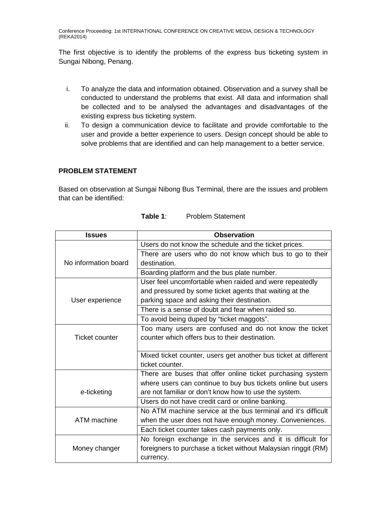The first objective is to identify the problems of the express bus ticketing system in Sungai Nibong, Penang.

- i. To analyze the data and information obtained. Observation and a survey shall be conducted to understand the problems that exist. All data and information shall be collected and to be analysed the advantages and disadvantages of the existing express bus ticketing system.
- ii. To design a communication device to facilitate and provide comfortable to the user and provide a better experience to users. Design concept should be able to solve problems that are identified and can help management to a better service.

## **PROBLEM STATEMENT**

Based on observation at Sungai Nibong Bus Terminal, there are the issues and problem that can be identified:

| <b>Issues</b>         | <b>Observation</b>                                              |
|-----------------------|-----------------------------------------------------------------|
| No information board  | Users do not know the schedule and the ticket prices.           |
|                       | There are users who do not know which bus to go to their        |
|                       | destination.                                                    |
|                       | Boarding platform and the bus plate number.                     |
| User experience       | User feel uncomfortable when raided and were repeatedly         |
|                       | and pressured by some ticket agents that waiting at the         |
|                       | parking space and asking their destination.                     |
|                       | There is a sense of doubt and fear when raided so.              |
|                       | To avoid being duped by "ticket maggots".                       |
| <b>Ticket counter</b> | Too many users are confused and do not know the ticket          |
|                       | counter which offers bus to their destination.                  |
|                       |                                                                 |
|                       | Mixed ticket counter, users get another bus ticket at different |
|                       | ticket counter.                                                 |
|                       | There are buses that offer online ticket purchasing system      |
| e-ticketing           | where users can continue to buy bus tickets online but users    |
|                       | are not familiar or don't know how to use the system.           |
|                       | Users do not have credit card or online banking.                |
| ATM machine           | No ATM machine service at the bus terminal and it's difficult   |
|                       | when the user does not have enough money. Conveniences.         |
|                       | Each ticket counter takes cash payments only.                   |
| Money changer         | No foreign exchange in the services and it is difficult for     |
|                       | foreigners to purchase a ticket without Malaysian ringgit (RM)  |
|                       | currency.                                                       |

| Table 1: | <b>Problem Statement</b> |
|----------|--------------------------|
|----------|--------------------------|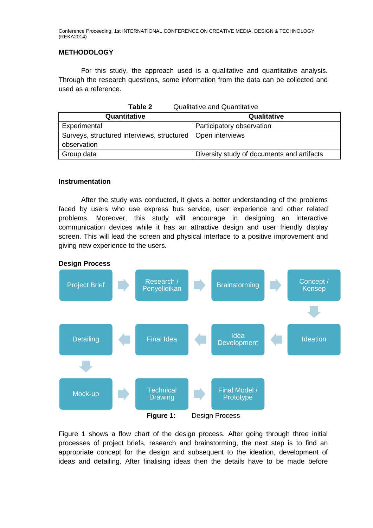#### **METHODOLOGY**

For this study, the approach used is a qualitative and quantitative analysis. Through the research questions, some information from the data can be collected and used as a reference.

| Table 2<br><b>Qualitative and Quantitative</b>               |                                            |  |
|--------------------------------------------------------------|--------------------------------------------|--|
| Quantitative                                                 | Qualitative                                |  |
| Experimental                                                 | Participatory observation                  |  |
| Surveys, structured interviews, structured   Open interviews |                                            |  |
| observation                                                  |                                            |  |
| Group data                                                   | Diversity study of documents and artifacts |  |

#### **Instrumentation**

After the study was conducted, it gives a better understanding of the problems faced by users who use express bus service, user experience and other related problems. Moreover, this study will encourage in designing an interactive communication devices while it has an attractive design and user friendly display screen. This will lead the screen and physical interface to a positive improvement and giving new experience to the users.



Figure 1 shows a flow chart of the design process. After going through three initial processes of project briefs, research and brainstorming, the next step is to find an appropriate concept for the design and subsequent to the ideation, development of ideas and detailing. After finalising ideas then the details have to be made before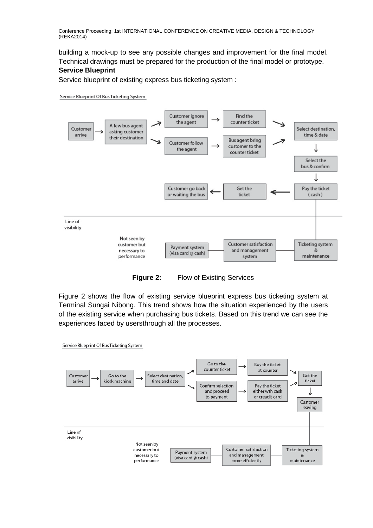building a mock-up to see any possible changes and improvement for the final model. Technical drawings must be prepared for the production of the final model or prototype. **Service Blueprint**

#### Service blueprint of existing express bus ticketing system :

#### Service Blueprint Of Bus Ticketing System





Figure 2 shows the flow of existing service blueprint express bus ticketing system at Terminal Sungai Nibong. This trend shows how the situation experienced by the users of the existing service when purchasing bus tickets. Based on this trend we can see the experiences faced by usersthrough all the processes.

Service Blueprint Of Bus Ticketing System

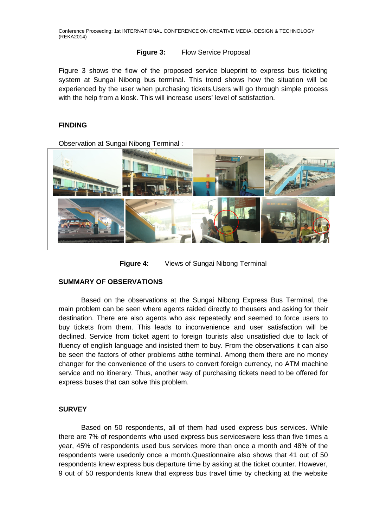#### **Figure 3:** Flow Service Proposal

Figure 3 shows the flow of the proposed service blueprint to express bus ticketing system at Sungai Nibong bus terminal. This trend shows how the situation will be experienced by the user when purchasing tickets.Users will go through simple process with the help from a kiosk. This will increase users' level of satisfaction.

#### **FINDING**

Observation at Sungai Nibong Terminal :



**Figure 4:** Views of Sungai Nibong Terminal

#### **SUMMARY OF OBSERVATIONS**

Based on the observations at the Sungai Nibong Express Bus Terminal, the main problem can be seen where agents raided directly to theusers and asking for their destination. There are also agents who ask repeatedly and seemed to force users to buy tickets from them. This leads to inconvenience and user satisfaction will be declined. Service from ticket agent to foreign tourists also unsatisfied due to lack of fluency of english language and insisted them to buy. From the observations it can also be seen the factors of other problems atthe terminal. Among them there are no money changer for the convenience of the users to convert foreign currency, no ATM machine service and no itinerary. Thus, another way of purchasing tickets need to be offered for express buses that can solve this problem.

#### **SURVEY**

Based on 50 respondents, all of them had used express bus services. While there are 7% of respondents who used express bus serviceswere less than five times a year, 45% of respondents used bus services more than once a month and 48% of the respondents were usedonly once a month.Questionnaire also shows that 41 out of 50 respondents knew express bus departure time by asking at the ticket counter. However, 9 out of 50 respondents knew that express bus travel time by checking at the website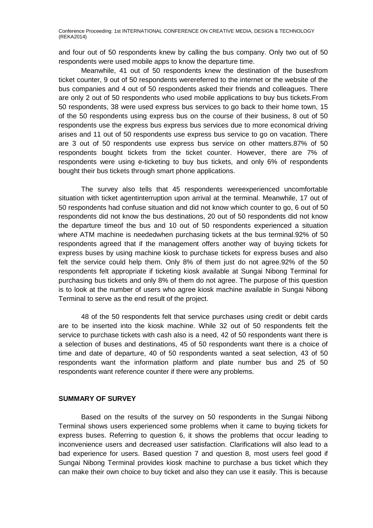and four out of 50 respondents knew by calling the bus company. Only two out of 50 respondents were used mobile apps to know the departure time.

Meanwhile, 41 out of 50 respondents knew the destination of the busesfrom ticket counter, 9 out of 50 respondents werereferred to the internet or the website of the bus companies and 4 out of 50 respondents asked their friends and colleagues. There are only 2 out of 50 respondents who used mobile applications to buy bus tickets.From 50 respondents, 38 were used express bus services to go back to their home town, 15 of the 50 respondents using express bus on the course of their business, 8 out of 50 respondents use the express bus express bus services due to more economical driving arises and 11 out of 50 respondents use express bus service to go on vacation. There are 3 out of 50 respondents use express bus service on other matters.87% of 50 respondents bought tickets from the ticket counter. However, there are 7% of respondents were using e-ticketing to buy bus tickets, and only 6% of respondents bought their bus tickets through smart phone applications.

The survey also tells that 45 respondents wereexperienced uncomfortable situation with ticket agentinterruption upon arrival at the terminal. Meanwhile, 17 out of 50 respondents had confuse situation and did not know which counter to go, 6 out of 50 respondents did not know the bus destinations, 20 out of 50 respondents did not know the departure timeof the bus and 10 out of 50 respondents experienced a situation where ATM machine is neededwhen purchasing tickets at the bus terminal.92% of 50 respondents agreed that if the management offers another way of buying tickets for express buses by using machine kiosk to purchase tickets for express buses and also felt the service could help them. Only 8% of them just do not agree.92% of the 50 respondents felt appropriate if ticketing kiosk available at Sungai Nibong Terminal for purchasing bus tickets and only 8% of them do not agree. The purpose of this question is to look at the number of users who agree kiosk machine available in Sungai Nibong Terminal to serve as the end result of the project.

48 of the 50 respondents felt that service purchases using credit or debit cards are to be inserted into the kiosk machine. While 32 out of 50 respondents felt the service to purchase tickets with cash also is a need, 42 of 50 respondents want there is a selection of buses and destinations, 45 of 50 respondents want there is a choice of time and date of departure, 40 of 50 respondents wanted a seat selection, 43 of 50 respondents want the information platform and plate number bus and 25 of 50 respondents want reference counter if there were any problems.

#### **SUMMARY OF SURVEY**

Based on the results of the survey on 50 respondents in the Sungai Nibong Terminal shows users experienced some problems when it came to buying tickets for express buses. Referring to question 6, it shows the problems that occur leading to inconvenience users and decreased user satisfaction. Clarifications will also lead to a bad experience for users. Based question 7 and question 8, most users feel good if Sungai Nibong Terminal provides kiosk machine to purchase a bus ticket which they can make their own choice to buy ticket and also they can use it easily. This is because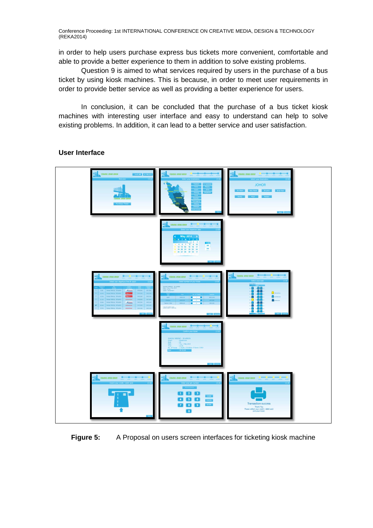in order to help users purchase express bus tickets more convenient, comfortable and able to provide a better experience to them in addition to solve existing problems.

Question 9 is aimed to what services required by users in the purchase of a bus ticket by using kiosk machines. This is because, in order to meet user requirements in order to provide better service as well as providing a better experience for users.

In conclusion, it can be concluded that the purchase of a bus ticket kiosk machines with interesting user interface and easy to understand can help to solve existing problems. In addition, it can lead to a better service and user satisfaction.

**User Interface**



#### **Figure 5:** A Proposal on users screen interfaces for ticketing kiosk machine